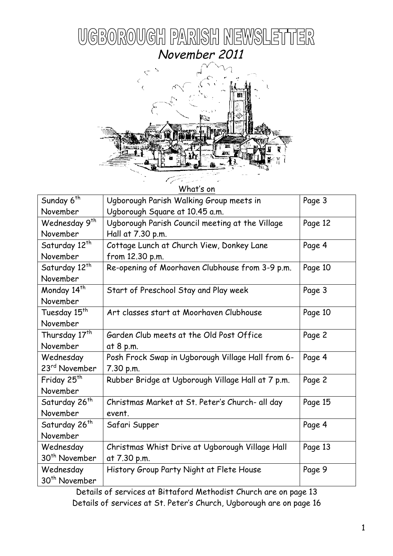



 $M/ha^+$ 's o

| ווט כונטוויש              |                                                   |         |
|---------------------------|---------------------------------------------------|---------|
| Sunday 6 <sup>th</sup>    | Ugborough Parish Walking Group meets in           | Page 3  |
| November                  | Ugborough Square at 10.45 a.m.                    |         |
| Wednesday 9 <sup>th</sup> | Ugborough Parish Council meeting at the Village   | Page 12 |
| November                  | Hall at 7.30 p.m.                                 |         |
| Saturday 12 <sup>th</sup> | Cottage Lunch at Church View, Donkey Lane         | Page 4  |
| November                  | from 12.30 p.m.                                   |         |
| Saturday 12 <sup>th</sup> | Re-opening of Moorhaven Clubhouse from 3-9 p.m.   | Page 10 |
| November                  |                                                   |         |
| Monday 14 <sup>th</sup>   | Start of Preschool Stay and Play week             | Page 3  |
| November                  |                                                   |         |
| Tuesday 15 <sup>th</sup>  | Art classes start at Moorhaven Clubhouse          | Page 10 |
| November                  |                                                   |         |
| Thursday 17 <sup>th</sup> | Garden Club meets at the Old Post Office          | Page 2  |
| November                  | at 8 p.m.                                         |         |
| Wednesday                 | Posh Frock Swap in Ugborough Village Hall from 6- | Page 4  |
| 23 <sup>rd</sup> November | 7.30 p.m.                                         |         |
| Friday 25 <sup>th</sup>   | Rubber Bridge at Ugborough Village Hall at 7 p.m. | Page 2  |
| November                  |                                                   |         |
| Saturday 26 <sup>th</sup> | Christmas Market at St. Peter's Church- all day   | Page 15 |
| November                  | event.                                            |         |
| Saturday 26 <sup>th</sup> | Safari Supper                                     | Page 4  |
| November                  |                                                   |         |
| Wednesday                 | Christmas Whist Drive at Ugborough Village Hall   | Page 13 |
| 30 <sup>th</sup> November | at 7.30 p.m.                                      |         |
| Wednesday                 | History Group Party Night at Flete House          | Page 9  |
| 30 <sup>th</sup> November |                                                   |         |

Details of services at Bittaford Methodist Church are on page 13 Details of services at St. Peter's Church, Ugborough are on page 16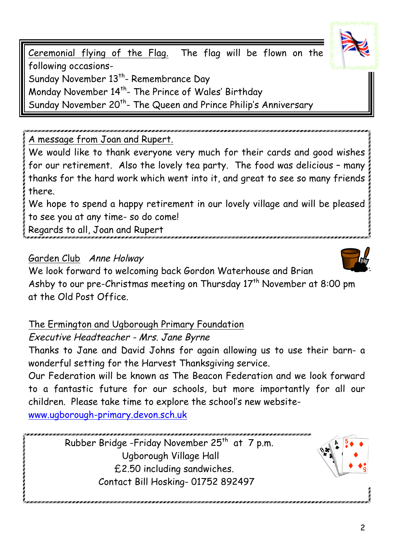Ceremonial flying of the Flag. The flag will be flown on the following occasions-Sunday November 13<sup>th</sup>- Remembrance Day Monday November 14<sup>th</sup>- The Prince of Wales' Birthday Sunday November 20<sup>th</sup>- The Queen and Prince Philip's Anniversary

A message from Joan and Rupert.

We would like to thank everyone very much for their cards and good wishes for our retirement. Also the lovely tea party. The food was delicious – many thanks for the hard work which went into it, and great to see so many friends there.

We hope to spend a happy retirement in our lovely village and will be pleased to see you at any time- so do come!

Regards to all, Joan and Rupert

## Garden Club Anne Holway

We look forward to welcoming back Gordon Waterhouse and Brian Ashby to our pre-Christmas meeting on Thursday  $17<sup>th</sup>$  November at 8:00 pm at the Old Post Office.

The Ermington and Ugborough Primary Foundation

# Executive Headteacher - Mrs. Jane Byrne

Thanks to Jane and David Johns for again allowing us to use their barn- a wonderful setting for the Harvest Thanksgiving service.

Our Federation will be known as The Beacon Federation and we look forward to a fantastic future for our schools, but more importantly for all our children. Please take time to explore the school's new website-

www.ugborough-primary.devon.sch.uk

Rubber Bridge -Friday November 25<sup>th</sup> at 7 p.m. Ugborough Village Hall £2.50 including sandwiches. Contact Bill Hosking- 01752 892497







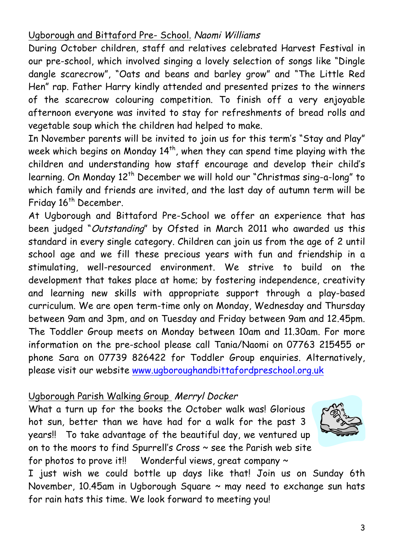## Ugborough and Bittaford Pre- School. Naomi Williams

During October children, staff and relatives celebrated Harvest Festival in our pre-school, which involved singing a lovely selection of songs like "Dingle dangle scarecrow", "Oats and beans and barley grow" and "The Little Red Hen" rap. Father Harry kindly attended and presented prizes to the winners of the scarecrow colouring competition. To finish off a very enjoyable afternoon everyone was invited to stay for refreshments of bread rolls and vegetable soup which the children had helped to make.

In November parents will be invited to join us for this term's "Stay and Play" week which begins on Monday 14<sup>th</sup>, when they can spend time playing with the children and understanding how staff encourage and develop their child's learning. On Monday 12<sup>th</sup> December we will hold our "Christmas sing-a-long" to which family and friends are invited, and the last day of autumn term will be Friday 16<sup>th</sup> December.

At Ugborough and Bittaford Pre-School we offer an experience that has been judged "Outstanding" by Ofsted in March 2011 who awarded us this standard in every single category. Children can join us from the age of 2 until school age and we fill these precious years with fun and friendship in a stimulating, well-resourced environment. We strive to build on the development that takes place at home; by fostering independence, creativity and learning new skills with appropriate support through a play-based curriculum. We are open term-time only on Monday, Wednesday and Thursday between 9am and 3pm, and on Tuesday and Friday between 9am and 12.45pm. The Toddler Group meets on Monday between 10am and 11.30am. For more information on the pre-school please call Tania/Naomi on 07763 215455 or phone Sara on 07739 826422 for Toddler Group enquiries. Alternatively, please visit our website www.ugboroughandbittafordpreschool.org.uk

### Ugborough Parish Walking Group Merryl Docker

What a turn up for the books the October walk was! Glorious hot sun, better than we have had for a walk for the past 3 years!!To take advantage of the beautiful day, we ventured up on to the moors to find Spurrell's Cross ~ see the Parish web site for photos to prove it!! Wonderful views, great company  $\sim$ 



I just wish we could bottle up days like that! Join us on Sunday 6th November, 10.45am in Ugborough Square ~ may need to exchange sun hats for rain hats this time. We look forward to meeting you!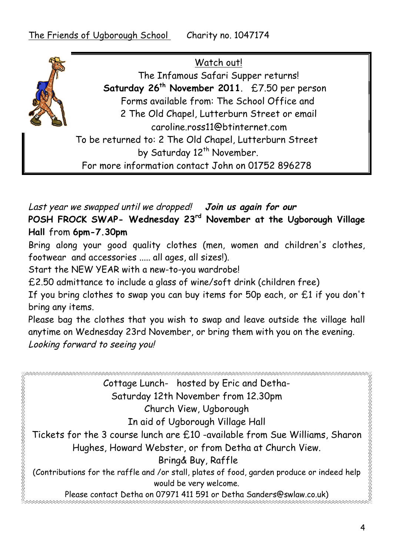Watch out! The Infamous Safari Supper returns! **Saturday 26th November 2011**. £7.50 per person Forms available from: The School Office and 2 The Old Chapel, Lutterburn Street or email caroline.ross11@btinternet.com To be returned to: 2 The Old Chapel, Lutterburn Street by Saturday 12<sup>th</sup> November. For more information contact John on 01752 896278

Last year we swapped until we dropped! **Join us again for our** 

**POSH FROCK SWAP- Wednesday 23rd November at the Ugborough Village Hall** from **6pm-7.30pm**

Bring along your good quality clothes (men, women and children's clothes, footwear and accessories ..... all ages, all sizes!).

Start the NEW YEAR with a new-to-you wardrobe!

£2.50 admittance to include a glass of wine/soft drink (children free)

If you bring clothes to swap you can buy items for 50p each, or £1 if you don't bring any items.

Please bag the clothes that you wish to swap and leave outside the village hall anytime on Wednesday 23rd November, or bring them with you on the evening. Looking forward to seeing you!

R Cottage Lunch- hosted by Eric and Detha-Saturday 12th November from 12.30pm Church View, Ugborough In aid of Ugborough Village Hall Tickets for the 3 course lunch are £10 -available from Sue Williams, Sharon Hughes, Howard Webster, or from Detha at Church View. Bring& Buy, Raffle (Contributions for the raffle and /or stall, plates of food, garden produce or indeed help would be very welcome. Please contact Detha on 07971 411 591 or Detha Sanders@swlaw.co.uk)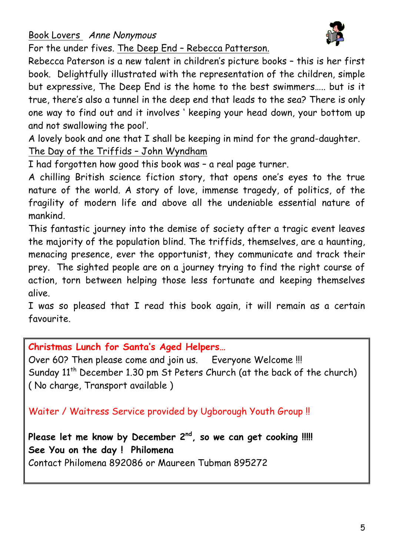Book Lovers Anne Nonymous



For the under fives. The Deep End – Rebecca Patterson.

Rebecca Paterson is a new talent in children's picture books – this is her first book. Delightfully illustrated with the representation of the children, simple but expressive, The Deep End is the home to the best swimmers….. but is it true, there's also a tunnel in the deep end that leads to the sea? There is only one way to find out and it involves ' keeping your head down, your bottom up and not swallowing the pool'.

A lovely book and one that I shall be keeping in mind for the grand-daughter. The Day of the Triffids – John Wyndham

I had forgotten how good this book was – a real page turner.

A chilling British science fiction story, that opens one's eyes to the true nature of the world. A story of love, immense tragedy, of politics, of the fragility of modern life and above all the undeniable essential nature of mankind.

This fantastic journey into the demise of society after a tragic event leaves the majority of the population blind. The triffids, themselves, are a haunting, menacing presence, ever the opportunist, they communicate and track their prey. The sighted people are on a journey trying to find the right course of action, torn between helping those less fortunate and keeping themselves alive.

I was so pleased that I read this book again, it will remain as a certain favourite.

**Christmas Lunch for Santa's Aged Helpers…**

Over 60? Then please come and join us. Everyone Welcome !!! Sunday  $11<sup>th</sup>$  December 1.30 pm St Peters Church (at the back of the church) ( No charge, Transport available )

Waiter / Waitress Service provided by Ugborough Youth Group !!

**Please let me know by December 2nd, so we can get cooking !!!!! See You on the day ! Philomena** Contact Philomena 892086 or Maureen Tubman 895272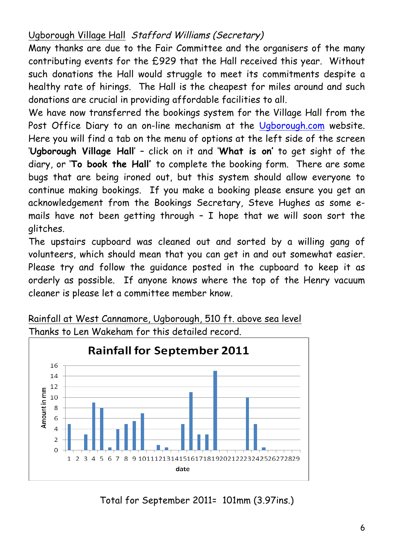## Ugborough Village Hall Stafford Williams (Secretary)

Many thanks are due to the Fair Committee and the organisers of the many contributing events for the £929 that the Hall received this year. Without such donations the Hall would struggle to meet its commitments despite a healthy rate of hirings. The Hall is the cheapest for miles around and such donations are crucial in providing affordable facilities to all.

We have now transferred the bookings system for the Village Hall from the Post Office Diary to an on-line mechanism at the Ugborough.com website. Here you will find a tab on the menu of options at the left side of the screen '**Ugborough Village Hall**' – click on it and '**What is on'** to get sight of the diary, or '**To book the Hall'** to complete the booking form. There are some bugs that are being ironed out, but this system should allow everyone to continue making bookings. If you make a booking please ensure you get an acknowledgement from the Bookings Secretary, Steve Hughes as some emails have not been getting through – I hope that we will soon sort the glitches.

The upstairs cupboard was cleaned out and sorted by a willing gang of volunteers, which should mean that you can get in and out somewhat easier. Please try and follow the guidance posted in the cupboard to keep it as orderly as possible. If anyone knows where the top of the Henry vacuum cleaner is please let a committee member know.



Rainfall at West Cannamore, Ugborough, 510 ft. above sea level Thanks to Len Wakeham for this detailed record.

Total for September 2011= 101mm (3.97ins.)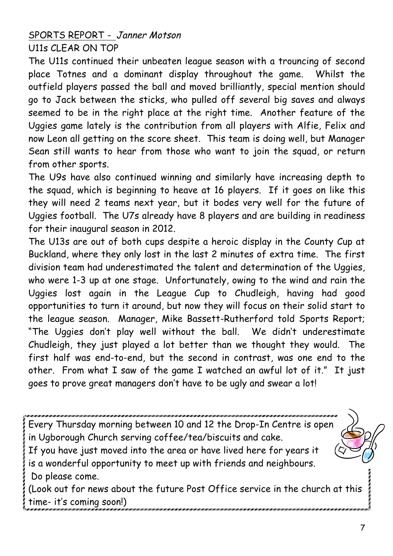## SPORTS REPORT - Janner Motson U11s CLEAR ON TOP

The U11s continued their unbeaten league season with a trouncing of second place Totnes and a dominant display throughout the game. Whilst the outfield players passed the ball and moved brilliantly, special mention should go to Jack between the sticks, who pulled off several big saves and always seemed to be in the right place at the right time. Another feature of the Uggies game lately is the contribution from all players with Alfie, Felix and now Leon all getting on the score sheet. This team is doing well, but Manager Sean still wants to hear from those who want to join the squad, or return from other sports.

The U9s have also continued winning and similarly have increasing depth to the squad, which is beginning to heave at 16 players. If it goes on like this they will need 2 teams next year, but it bodes very well for the future of Uggies football. The U7s already have 8 players and are building in readiness for their inaugural season in 2012.

The U13s are out of both cups despite a heroic display in the County Cup at Buckland, where they only lost in the last 2 minutes of extra time. The first division team had underestimated the talent and determination of the Uggies, who were 1-3 up at one stage. Unfortunately, owing to the wind and rain the Uggies lost again in the League Cup to Chudleigh, having had good opportunities to turn it around, but now they will focus on their solid start to the league season. Manager, Mike Bassett-Rutherford told Sports Report; "The Uggies don't play well without the ball. We didn't underestimate Chudleigh, they just played a lot better than we thought they would. The first half was end-to-end, but the second in contrast, was one end to the other. From what I saw of the game I watched an awful lot of it." It just goes to prove great managers don't have to be ugly and swear a lot!

Every Thursday morning between 10 and 12 the Drop-In Centre is open in Ugborough Church serving coffee/tea/biscuits and cake. If you have just moved into the area or have lived here for years it

is a wonderful opportunity to meet up with friends and neighbours. Do please come.

(Look out for news about the future Post Office service in the church at this time- it's coming soon!)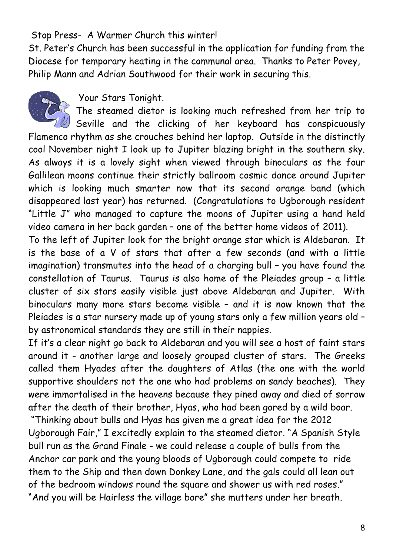## Stop Press- A Warmer Church this winter!

St. Peter's Church has been successful in the application for funding from the Diocese for temporary heating in the communal area. Thanks to Peter Povey, Philip Mann and Adrian Southwood for their work in securing this.



### Your Stars Tonight.

The steamed dietor is looking much refreshed from her trip to  $\mathbb Z$  Seville and the clicking of her keyboard has conspicuously Flamenco rhythm as she crouches behind her laptop. Outside in the distinctly cool November night I look up to Jupiter blazing bright in the southern sky. As always it is a lovely sight when viewed through binoculars as the four Gallilean moons continue their strictly ballroom cosmic dance around Jupiter which is looking much smarter now that its second orange band (which disappeared last year) has returned. (Congratulations to Ugborough resident "Little J" who managed to capture the moons of Jupiter using a hand held video camera in her back garden – one of the better home videos of 2011).

To the left of Jupiter look for the bright orange star which is Aldebaran. It is the base of a V of stars that after a few seconds (and with a little imagination) transmutes into the head of a charging bull – you have found the constellation of Taurus. Taurus is also home of the Pleiades group – a little cluster of six stars easily visible just above Aldebaran and Jupiter. With binoculars many more stars become visible – and it is now known that the Pleiades is a star nursery made up of young stars only a few million years old – by astronomical standards they are still in their nappies.

If it's a clear night go back to Aldebaran and you will see a host of faint stars around it - another large and loosely grouped cluster of stars. The Greeks called them Hyades after the daughters of Atlas (the one with the world supportive shoulders not the one who had problems on sandy beaches). They were immortalised in the heavens because they pined away and died of sorrow after the death of their brother, Hyas, who had been gored by a wild boar.

"Thinking about bulls and Hyas has given me a great idea for the 2012 Ugborough Fair," I excitedly explain to the steamed dietor. "A Spanish Style bull run as the Grand Finale - we could release a couple of bulls from the Anchor car park and the young bloods of Ugborough could compete to ride them to the Ship and then down Donkey Lane, and the gals could all lean out of the bedroom windows round the square and shower us with red roses." "And you will be Hairless the village bore" she mutters under her breath.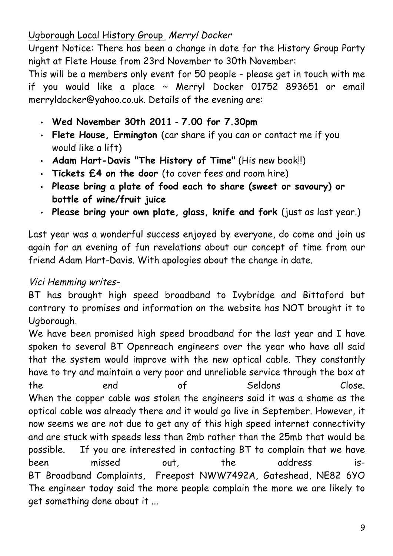## Ugborough Local History Group Merryl Docker

Urgent Notice: There has been a change in date for the History Group Party night at Flete House from 23rd November to 30th November:

This will be a members only event for 50 people - please get in touch with me if you would like a place  $\sim$  Merryl Docker 01752 893651 or email merryldocker@yahoo.co.uk. Details of the evening are:

- **Wed November 30th 2011 7.00 for 7.30pm**
- **Flete House, Ermington** (car share if you can or contact me if you would like a lift)
- **Adam Hart-Davis "The History of Time"** (His new book!!)
- **Tickets £4 on the door** (to cover fees and room hire)
- **Please bring a plate of food each to share (sweet or savoury) or bottle of wine/fruit juice**
- **Please bring your own plate, glass, knife and fork** (just as last year.)

Last year was a wonderful success enjoyed by everyone, do come and join us again for an evening of fun revelations about our concept of time from our friend Adam Hart-Davis. With apologies about the change in date.

## Vici Hemming writes-

BT has brought high speed broadband to Ivybridge and Bittaford but contrary to promises and information on the website has NOT brought it to Ugborough.

We have been promised high speed broadband for the last year and I have spoken to several BT Openreach engineers over the year who have all said that the system would improve with the new optical cable. They constantly have to try and maintain a very poor and unreliable service through the box at the end of Seldons Close. When the copper cable was stolen the engineers said it was a shame as the optical cable was already there and it would go live in September. However, it now seems we are not due to get any of this high speed internet connectivity and are stuck with speeds less than 2mb rather than the 25mb that would be possible. If you are interested in contacting BT to complain that we have been missed out, the address is-BT Broadband Complaints, Freepost NWW7492A, Gateshead, NE82 6YO The engineer today said the more people complain the more we are likely to get something done about it ...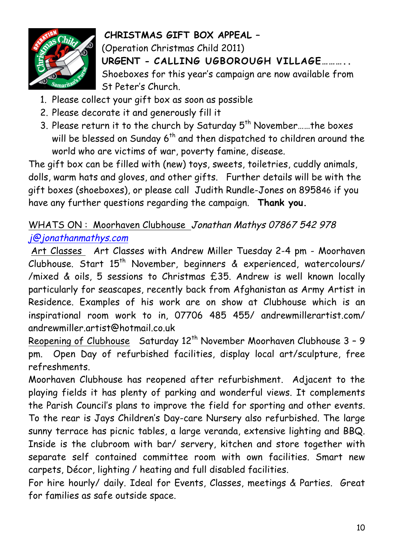

## **CHRISTMAS GIFT BOX APPEAL –**

(Operation Christmas Child 2011) **URGENT - CALLING UGBOROUGH VILLAGE………..**  Shoeboxes for this year's campaign are now available from St Peter's Church.

- 1. Please collect your gift box as soon as possible
- 2. Please decorate it and generously fill it
- 3. Please return it to the church by Saturday 5<sup>th</sup> November......the boxes will be blessed on Sunday 6<sup>th</sup> and then dispatched to children around the world who are victims of war, poverty famine, disease.

The gift box can be filled with (new) toys, sweets, toiletries, cuddly animals, dolls, warm hats and gloves, and other gifts. Further details will be with the gift boxes (shoeboxes), or please call Judith Rundle-Jones on 895846 if you have any further questions regarding the campaign. **Thank you.**

# WHATS ON : Moorhaven Clubhouse Jonathan Mathys 07867 542 978 j@jonathanmathys.com

Art Classes Art Classes with Andrew Miller Tuesday 2-4 pm - Moorhaven Clubhouse. Start 15<sup>th</sup> November, beginners & experienced, watercolours/ /mixed & oils, 5 sessions to Christmas £35. Andrew is well known locally particularly for seascapes, recently back from Afghanistan as Army Artist in Residence. Examples of his work are on show at Clubhouse which is an inspirational room work to in, 07706 485 455/ andrewmillerartist.com/ andrewmiller.artist@hotmail.co.uk

Reopening of Clubhouse Saturday 12<sup>th</sup> November Moorhaven Clubhouse 3 - 9 pm. Open Day of refurbished facilities, display local art/sculpture, free refreshments.

Moorhaven Clubhouse has reopened after refurbishment. Adjacent to the playing fields it has plenty of parking and wonderful views. It complements the Parish Council's plans to improve the field for sporting and other events. To the rear is Jays Children's Day-care Nursery also refurbished. The large sunny terrace has picnic tables, a large veranda, extensive lighting and BBQ. Inside is the clubroom with bar/ servery, kitchen and store together with separate self contained committee room with own facilities. Smart new carpets, Décor, lighting / heating and full disabled facilities.

For hire hourly/ daily. Ideal for Events, Classes, meetings & Parties. Great for families as safe outside space.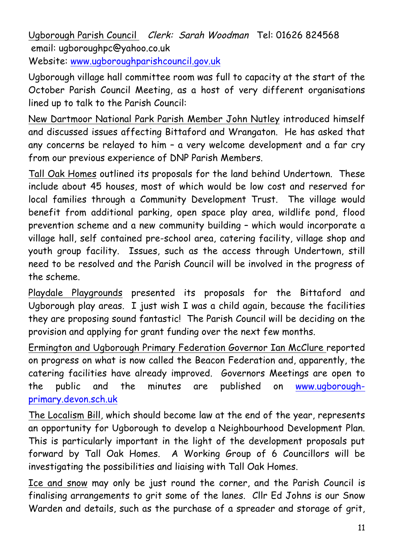Ugborough Parish Council Clerk: Sarah Woodman Tel: 01626 824568 email: ugboroughpc@yahoo.co.uk Website: www.ugboroughparishcouncil.gov.uk

Ugborough village hall committee room was full to capacity at the start of the October Parish Council Meeting, as a host of very different organisations lined up to talk to the Parish Council:

New Dartmoor National Park Parish Member John Nutley introduced himself and discussed issues affecting Bittaford and Wrangaton. He has asked that any concerns be relayed to him – a very welcome development and a far cry from our previous experience of DNP Parish Members.

Tall Oak Homes outlined its proposals for the land behind Undertown. These include about 45 houses, most of which would be low cost and reserved for local families through a Community Development Trust. The village would benefit from additional parking, open space play area, wildlife pond, flood prevention scheme and a new community building – which would incorporate a village hall, self contained pre-school area, catering facility, village shop and youth group facility. Issues, such as the access through Undertown, still need to be resolved and the Parish Council will be involved in the progress of the scheme.

Playdale Playgrounds presented its proposals for the Bittaford and Ugborough play areas. I just wish I was a child again, because the facilities they are proposing sound fantastic! The Parish Council will be deciding on the provision and applying for grant funding over the next few months.

Ermington and Ugborough Primary Federation Governor Ian McClure reported on progress on what is now called the Beacon Federation and, apparently, the catering facilities have already improved. Governors Meetings are open to the public and the minutes are published on www.ugboroughprimary.devon.sch.uk

The Localism Bill, which should become law at the end of the year, represents an opportunity for Ugborough to develop a Neighbourhood Development Plan. This is particularly important in the light of the development proposals put forward by Tall Oak Homes. A Working Group of 6 Councillors will be investigating the possibilities and liaising with Tall Oak Homes.

Ice and snow may only be just round the corner, and the Parish Council is finalising arrangements to grit some of the lanes. Cllr Ed Johns is our Snow Warden and details, such as the purchase of a spreader and storage of grit,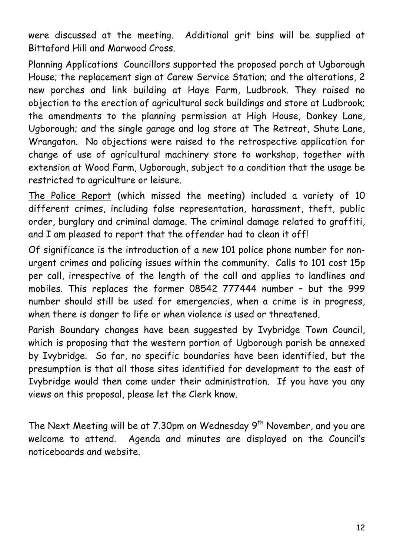were discussed at the meeting. Additional grit bins will be supplied at Bittaford Hill and Marwood Cross.

Planning Applications Councillors supported the proposed porch at Ugborough House; the replacement sign at Carew Service Station; and the alterations, 2 new porches and link building at Haye Farm, Ludbrook. They raised no objection to the erection of agricultural sock buildings and store at Ludbrook; the amendments to the planning permission at High House, Donkey Lane, Ugborough; and the single garage and log store at The Retreat, Shute Lane, Wrangaton. No objections were raised to the retrospective application for change of use of agricultural machinery store to workshop, together with extension at Wood Farm, Ugborough, subject to a condition that the usage be restricted to agriculture or leisure.

The Police Report (which missed the meeting) included a variety of 10 different crimes, including false representation, harassment, theft, public order, burglary and criminal damage. The criminal damage related to graffiti, and I am pleased to report that the offender had to clean it off!

Of significance is the introduction of a new 101 police phone number for nonurgent crimes and policing issues within the community. Calls to 101 cost 15p per call, irrespective of the length of the call and applies to landlines and mobiles. This replaces the former 08542 777444 number – but the 999 number should still be used for emergencies, when a crime is in progress, when there is danger to life or when violence is used or threatened.

Parish Boundary changes have been suggested by Ivybridge Town Council, which is proposing that the western portion of Ugborough parish be annexed by Ivybridge. So far, no specific boundaries have been identified, but the presumption is that all those sites identified for development to the east of Ivybridge would then come under their administration. If you have you any views on this proposal, please let the Clerk know.

The Next Meeting will be at 7.30pm on Wednesday 9<sup>th</sup> November, and you are welcome to attend. Agenda and minutes are displayed on the Council's noticeboards and website.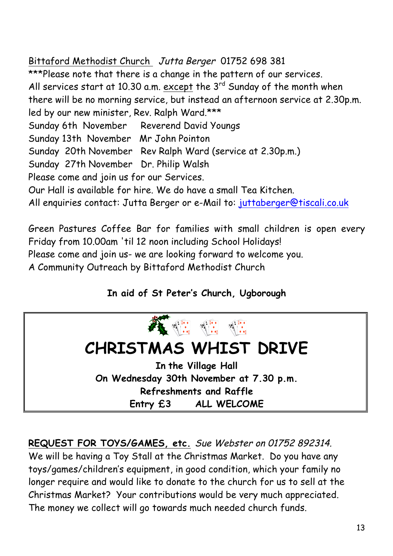Bittaford Methodist Church Jutta Berger 01752 698 381 \*\*\*Please note that there is a change in the pattern of our services. All services start at 10.30 a.m. except the  $3<sup>rd</sup>$  Sunday of the month when there will be no morning service, but instead an afternoon service at 2.30p.m. led by our new minister, Rev. Ralph Ward.\*\*\* Sunday 6th November Reverend David Youngs Sunday 13th November Mr John Pointon Sunday 20th November Rev Ralph Ward (service at 2.30p.m.) Sunday 27th November Dr. Philip Walsh Please come and join us for our Services. Our Hall is available for hire. We do have a small Tea Kitchen. All enquiries contact: Jutta Berger or e-Mail to: juttaberger@tiscali.co.uk

Green Pastures Coffee Bar for families with small children is open every Friday from 10.00am 'til 12 noon including School Holidays!

Please come and join us- we are looking forward to welcome you.

A Community Outreach by Bittaford Methodist Church

## **In aid of St Peter's Church, Ugborough**



**REQUEST FOR TOYS/GAMES, etc.** Sue Webster on 01752 892314. We will be having a Toy Stall at the Christmas Market. Do you have any toys/games/children's equipment, in good condition, which your family no longer require and would like to donate to the church for us to sell at the Christmas Market? Your contributions would be very much appreciated. The money we collect will go towards much needed church funds.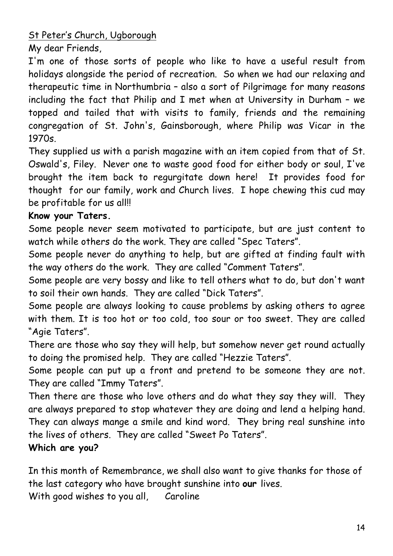St Peter's Church, Ugborough

My dear Friends,

I'm one of those sorts of people who like to have a useful result from holidays alongside the period of recreation. So when we had our relaxing and therapeutic time in Northumbria – also a sort of Pilgrimage for many reasons including the fact that Philip and I met when at University in Durham – we topped and tailed that with visits to family, friends and the remaining congregation of St. John's, Gainsborough, where Philip was Vicar in the 1970s.

They supplied us with a parish magazine with an item copied from that of St. Oswald's, Filey. Never one to waste good food for either body or soul, I've brought the item back to regurgitate down here! It provides food for thought for our family, work and Church lives. I hope chewing this cud may be profitable for us all!!

### **Know your Taters.**

Some people never seem motivated to participate, but are just content to watch while others do the work. They are called "Spec Taters".

Some people never do anything to help, but are gifted at finding fault with the way others do the work. They are called "Comment Taters".

Some people are very bossy and like to tell others what to do, but don't want to soil their own hands. They are called "Dick Taters".

Some people are always looking to cause problems by asking others to agree with them. It is too hot or too cold, too sour or too sweet. They are called "Agie Taters".

There are those who say they will help, but somehow never get round actually to doing the promised help. They are called "Hezzie Taters".

Some people can put up a front and pretend to be someone they are not. They are called "Immy Taters".

Then there are those who love others and do what they say they will. They are always prepared to stop whatever they are doing and lend a helping hand. They can always mange a smile and kind word. They bring real sunshine into the lives of others. They are called "Sweet Po Taters".

## **Which are you?**

In this month of Remembrance, we shall also want to give thanks for those of the last category who have brought sunshine into **our** lives. With good wishes to you all, Caroline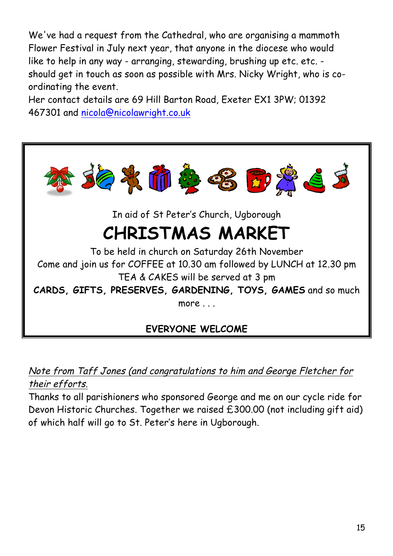We've had a request from the Cathedral, who are organising a mammoth Flower Festival in July next year, that anyone in the diocese who would like to help in any way - arranging, stewarding, brushing up etc. etc. should get in touch as soon as possible with Mrs. Nicky Wright, who is coordinating the event.

Her contact details are 69 Hill Barton Road, Exeter EX1 3PW; 01392 467301 and nicola@nicolawright.co.uk



Note from Taff Jones (and congratulations to him and George Fletcher for their efforts.

Thanks to all parishioners who sponsored George and me on our cycle ride for Devon Historic Churches. Together we raised £300.00 (not including gift aid) of which half will go to St. Peter's here in Ugborough.